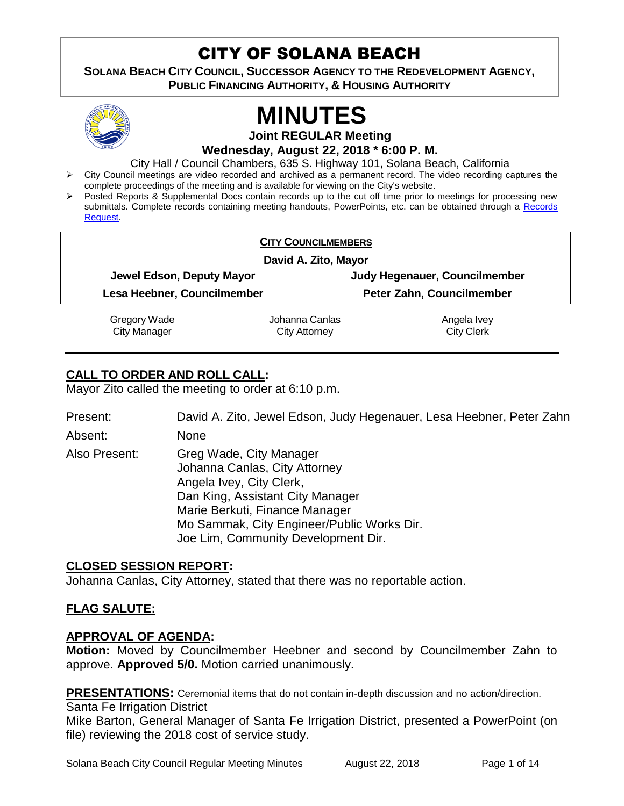# CITY OF SOLANA BEACH

**SOLANA BEACH CITY COUNCIL, SUCCESSOR AGENCY TO THE REDEVELOPMENT AGENCY, PUBLIC FINANCING AUTHORITY, & HOUSING AUTHORITY** 



# **MINUTES**

**Joint REGULAR Meeting**

**Wednesday, August 22, 2018 \* 6:00 P. M.** 

City Hall / Council Chambers, 635 S. Highway 101, Solana Beach, California

- $\triangleright$  City Council meetings are video recorded and archived as a permanent record. The video recording captures the complete proceedings of the meeting and is available for viewing on the City's website.
- Posted Reports & Supplemental Docs contain records up to the cut off time prior to meetings for processing new submittals. Complete records containing meeting handouts, PowerPoints, etc. can be obtained through a Records [Request.](http://www.ci.solana-beach.ca.us/index.asp?SEC=F5D45D10-70CE-4291-A27C-7BD633FC6742&Type=B_BASIC)

|                                     | <b>CITY COUNCILMEMBERS</b>             |                                  |  |
|-------------------------------------|----------------------------------------|----------------------------------|--|
| David A. Zito, Mayor                |                                        |                                  |  |
| Jewel Edson, Deputy Mayor           |                                        | Judy Hegenauer, Councilmember    |  |
| Lesa Heebner, Councilmember         |                                        | Peter Zahn, Councilmember        |  |
| Gregory Wade<br><b>City Manager</b> | Johanna Canlas<br><b>City Attorney</b> | Angela Ivey<br><b>City Clerk</b> |  |

# **CALL TO ORDER AND ROLL CALL:**

Mayor Zito called the meeting to order at 6:10 p.m.

Present: David A. Zito, Jewel Edson, Judy Hegenauer, Lesa Heebner, Peter Zahn

Absent: None Also Present: Greg Wade, City Manager Johanna Canlas, City Attorney Angela Ivey, City Clerk, Dan King, Assistant City Manager Marie Berkuti, Finance Manager Mo Sammak, City Engineer/Public Works Dir.

# **CLOSED SESSION REPORT:**

Johanna Canlas, City Attorney, stated that there was no reportable action.

Joe Lim, Community Development Dir.

# **FLAG SALUTE:**

# **APPROVAL OF AGENDA:**

**Motion:** Moved by Councilmember Heebner and second by Councilmember Zahn to approve. **Approved 5/0.** Motion carried unanimously.

**PRESENTATIONS:** Ceremonial items that do not contain in-depth discussion and no action/direction. Santa Fe Irrigation District

Mike Barton, General Manager of Santa Fe Irrigation District, presented a PowerPoint (on file) reviewing the 2018 cost of service study.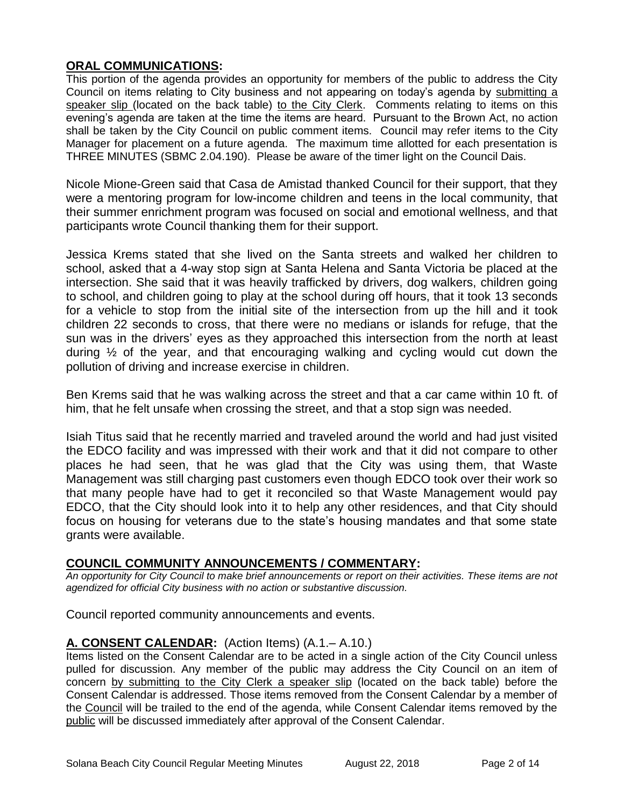# **ORAL COMMUNICATIONS:**

This portion of the agenda provides an opportunity for members of the public to address the City Council on items relating to City business and not appearing on today's agenda by submitting a speaker slip (located on the back table) to the City Clerk. Comments relating to items on this evening's agenda are taken at the time the items are heard. Pursuant to the Brown Act, no action shall be taken by the City Council on public comment items. Council may refer items to the City Manager for placement on a future agenda. The maximum time allotted for each presentation is THREE MINUTES (SBMC 2.04.190). Please be aware of the timer light on the Council Dais.

Nicole Mione-Green said that Casa de Amistad thanked Council for their support, that they were a mentoring program for low-income children and teens in the local community, that their summer enrichment program was focused on social and emotional wellness, and that participants wrote Council thanking them for their support.

Jessica Krems stated that she lived on the Santa streets and walked her children to school, asked that a 4-way stop sign at Santa Helena and Santa Victoria be placed at the intersection. She said that it was heavily trafficked by drivers, dog walkers, children going to school, and children going to play at the school during off hours, that it took 13 seconds for a vehicle to stop from the initial site of the intersection from up the hill and it took children 22 seconds to cross, that there were no medians or islands for refuge, that the sun was in the drivers' eyes as they approached this intersection from the north at least during ½ of the year, and that encouraging walking and cycling would cut down the pollution of driving and increase exercise in children.

Ben Krems said that he was walking across the street and that a car came within 10 ft. of him, that he felt unsafe when crossing the street, and that a stop sign was needed.

Isiah Titus said that he recently married and traveled around the world and had just visited the EDCO facility and was impressed with their work and that it did not compare to other places he had seen, that he was glad that the City was using them, that Waste Management was still charging past customers even though EDCO took over their work so that many people have had to get it reconciled so that Waste Management would pay EDCO, that the City should look into it to help any other residences, and that City should focus on housing for veterans due to the state's housing mandates and that some state grants were available.

# **COUNCIL COMMUNITY ANNOUNCEMENTS / COMMENTARY:**

*An opportunity for City Council to make brief announcements or report on their activities. These items are not agendized for official City business with no action or substantive discussion.* 

Council reported community announcements and events.

# **A. CONSENT CALENDAR:** (Action Items) (A.1.– A.10.)

Items listed on the Consent Calendar are to be acted in a single action of the City Council unless pulled for discussion. Any member of the public may address the City Council on an item of concern by submitting to the City Clerk a speaker slip (located on the back table) before the Consent Calendar is addressed. Those items removed from the Consent Calendar by a member of the Council will be trailed to the end of the agenda, while Consent Calendar items removed by the public will be discussed immediately after approval of the Consent Calendar.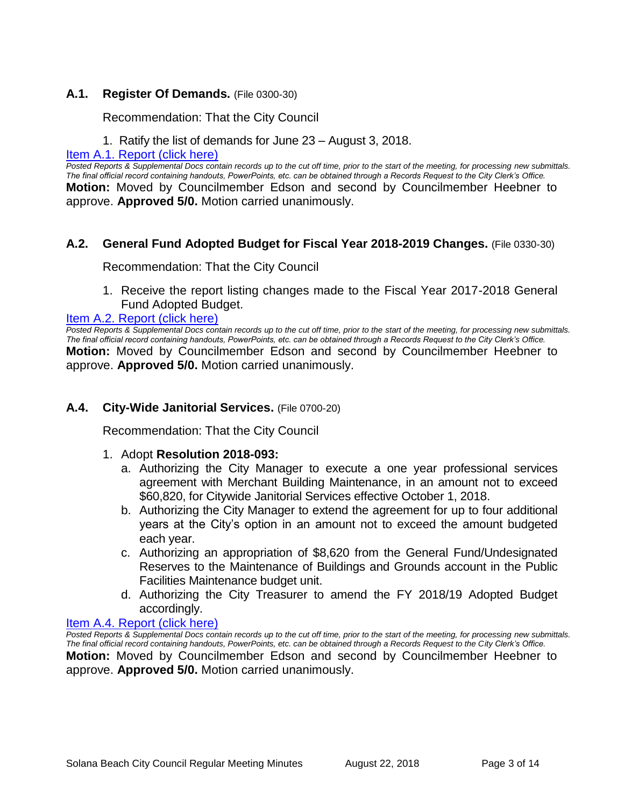#### **A.1. Register Of Demands.** (File 0300-30)

Recommendation: That the City Council

1. Ratify the list of demands for June 23 – August 3, 2018.

#### [Item A.1. Report \(click here\)](https://solanabeach.govoffice3.com/vertical/Sites/%7B840804C2-F869-4904-9AE3-720581350CE7%7D/uploads/Item_A.1._Report_(click_here)_-_08-22-18.PDF)

*Posted Reports & Supplemental Docs contain records up to the cut off time, prior to the start of the meeting, for processing new submittals. The final official record containing handouts, PowerPoints, etc. can be obtained through a Records Request to the City Clerk's Office.* **Motion:** Moved by Councilmember Edson and second by Councilmember Heebner to approve. **Approved 5/0.** Motion carried unanimously.

#### **A.2. General Fund Adopted Budget for Fiscal Year 2018-2019 Changes.** (File 0330-30)

Recommendation: That the City Council

1. Receive the report listing changes made to the Fiscal Year 2017-2018 General Fund Adopted Budget.

#### [Item A.2. Report \(click here\)](https://solanabeach.govoffice3.com/vertical/Sites/%7B840804C2-F869-4904-9AE3-720581350CE7%7D/uploads/Item_A.2._Report_(click_here)_-_08-22-18.PDF)

*Posted Reports & Supplemental Docs contain records up to the cut off time, prior to the start of the meeting, for processing new submittals. The final official record containing handouts, PowerPoints, etc. can be obtained through a Records Request to the City Clerk's Office.* **Motion:** Moved by Councilmember Edson and second by Councilmember Heebner to approve. **Approved 5/0.** Motion carried unanimously.

#### **A.4. City-Wide Janitorial Services.** (File 0700-20)

Recommendation: That the City Council

#### 1. Adopt **Resolution 2018-093:**

- a. Authorizing the City Manager to execute a one year professional services agreement with Merchant Building Maintenance, in an amount not to exceed \$60,820, for Citywide Janitorial Services effective October 1, 2018.
- b. Authorizing the City Manager to extend the agreement for up to four additional years at the City's option in an amount not to exceed the amount budgeted each year.
- c. Authorizing an appropriation of \$8,620 from the General Fund/Undesignated Reserves to the Maintenance of Buildings and Grounds account in the Public Facilities Maintenance budget unit.
- d. Authorizing the City Treasurer to amend the FY 2018/19 Adopted Budget accordingly.

#### [Item A.4. Report \(click here\)](https://solanabeach.govoffice3.com/vertical/Sites/%7B840804C2-F869-4904-9AE3-720581350CE7%7D/uploads/Item_A.4._Report_(click_here)_-_08-22-18.PDF)

*Posted Reports & Supplemental Docs contain records up to the cut off time, prior to the start of the meeting, for processing new submittals. The final official record containing handouts, PowerPoints, etc. can be obtained through a Records Request to the City Clerk's Office.*

**Motion:** Moved by Councilmember Edson and second by Councilmember Heebner to approve. **Approved 5/0.** Motion carried unanimously.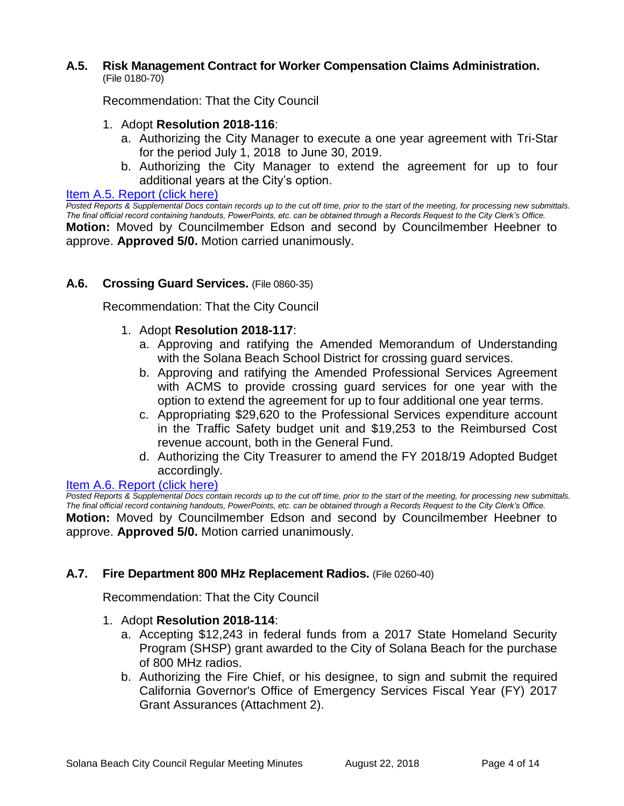#### **A.5. Risk Management Contract for Worker Compensation Claims Administration.** (File 0180-70)

Recommendation: That the City Council

- 1. Adopt **Resolution 2018-116**:
	- a. Authorizing the City Manager to execute a one year agreement with Tri-Star for the period July 1, 2018 to June 30, 2019.
	- b. Authorizing the City Manager to extend the agreement for up to four additional years at the City's option.

#### [Item A.5. Report \(click here\)](https://solanabeach.govoffice3.com/vertical/Sites/%7B840804C2-F869-4904-9AE3-720581350CE7%7D/uploads/Item_A.5._Report_(click_here)_-_08-22-18.PDF)

*Posted Reports & Supplemental Docs contain records up to the cut off time, prior to the start of the meeting, for processing new submittals. The final official record containing handouts, PowerPoints, etc. can be obtained through a Records Request to the City Clerk's Office.* **Motion:** Moved by Councilmember Edson and second by Councilmember Heebner to approve. **Approved 5/0.** Motion carried unanimously.

#### **A.6. Crossing Guard Services.** (File 0860-35)

Recommendation: That the City Council

- 1. Adopt **Resolution 2018-117**:
	- a. Approving and ratifying the Amended Memorandum of Understanding with the Solana Beach School District for crossing guard services.
	- b. Approving and ratifying the Amended Professional Services Agreement with ACMS to provide crossing guard services for one year with the option to extend the agreement for up to four additional one year terms.
	- c. Appropriating \$29,620 to the Professional Services expenditure account in the Traffic Safety budget unit and \$19,253 to the Reimbursed Cost revenue account, both in the General Fund.
	- d. Authorizing the City Treasurer to amend the FY 2018/19 Adopted Budget accordingly.

#### [Item A.6. Report \(click](https://solanabeach.govoffice3.com/vertical/Sites/%7B840804C2-F869-4904-9AE3-720581350CE7%7D/uploads/Item_A.6._Report_(click_here)_-_08-22-18.PDF) here)

*Posted Reports & Supplemental Docs contain records up to the cut off time, prior to the start of the meeting, for processing new submittals. The final official record containing handouts, PowerPoints, etc. can be obtained through a Records Request to the City Clerk's Office.* **Motion:** Moved by Councilmember Edson and second by Councilmember Heebner to approve. **Approved 5/0.** Motion carried unanimously.

#### **A.7. Fire Department 800 MHz Replacement Radios.** (File 0260-40)

Recommendation: That the City Council

- 1. Adopt **Resolution 2018-114**:
	- a. Accepting \$12,243 in federal funds from a 2017 State Homeland Security Program (SHSP) grant awarded to the City of Solana Beach for the purchase of 800 MHz radios.
	- b. Authorizing the Fire Chief, or his designee, to sign and submit the required California Governor's Office of Emergency Services Fiscal Year (FY) 2017 Grant Assurances (Attachment 2).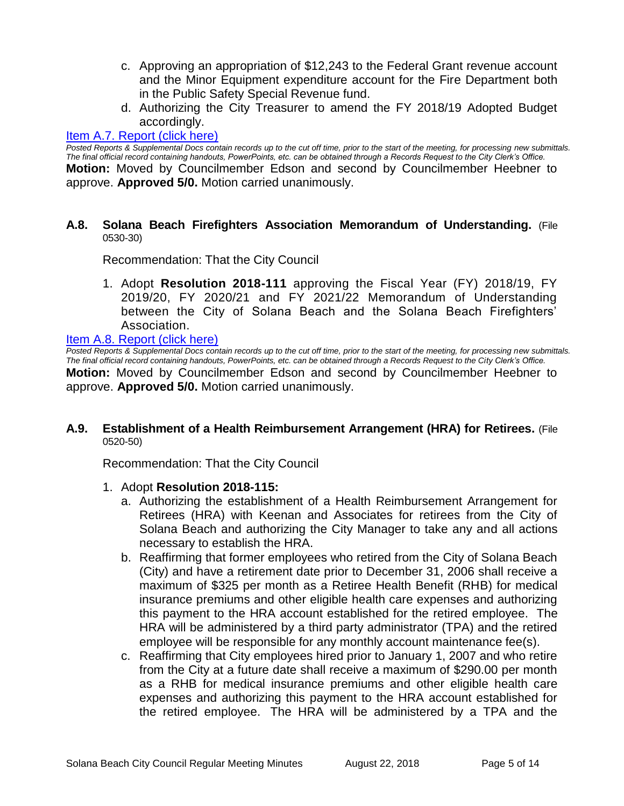- c. Approving an appropriation of \$12,243 to the Federal Grant revenue account and the Minor Equipment expenditure account for the Fire Department both in the Public Safety Special Revenue fund.
- d. Authorizing the City Treasurer to amend the FY 2018/19 Adopted Budget accordingly.

#### [Item A.7. Report \(click here\)](https://solanabeach.govoffice3.com/vertical/Sites/%7B840804C2-F869-4904-9AE3-720581350CE7%7D/uploads/Item_A.7._Report_(click_here)_-_08-22-18.PDF)

*Posted Reports & Supplemental Docs contain records up to the cut off time, prior to the start of the meeting, for processing new submittals. The final official record containing handouts, PowerPoints, etc. can be obtained through a Records Request to the City Clerk's Office.*

**Motion:** Moved by Councilmember Edson and second by Councilmember Heebner to approve. **Approved 5/0.** Motion carried unanimously.

#### **A.8. Solana Beach Firefighters Association Memorandum of Understanding.** (File 0530-30)

Recommendation: That the City Council

1. Adopt **Resolution 2018-111** approving the Fiscal Year (FY) 2018/19, FY 2019/20, FY 2020/21 and FY 2021/22 Memorandum of Understanding between the City of Solana Beach and the Solana Beach Firefighters' Association.

#### [Item A.8. Report \(click here\)](https://solanabeach.govoffice3.com/vertical/Sites/%7B840804C2-F869-4904-9AE3-720581350CE7%7D/uploads/Item_A.8._Report_(click_here)_-_08-22-18.PDF)

*Posted Reports & Supplemental Docs contain records up to the cut off time, prior to the start of the meeting, for processing new submittals. The final official record containing handouts, PowerPoints, etc. can be obtained through a Records Request to the City Clerk's Office.* **Motion:** Moved by Councilmember Edson and second by Councilmember Heebner to approve. **Approved 5/0.** Motion carried unanimously.

#### **A.9. Establishment of a Health Reimbursement Arrangement (HRA) for Retirees.** (File 0520-50)

Recommendation: That the City Council

#### 1. Adopt **Resolution 2018-115:**

- a. Authorizing the establishment of a Health Reimbursement Arrangement for Retirees (HRA) with Keenan and Associates for retirees from the City of Solana Beach and authorizing the City Manager to take any and all actions necessary to establish the HRA.
- b. Reaffirming that former employees who retired from the City of Solana Beach (City) and have a retirement date prior to December 31, 2006 shall receive a maximum of \$325 per month as a Retiree Health Benefit (RHB) for medical insurance premiums and other eligible health care expenses and authorizing this payment to the HRA account established for the retired employee. The HRA will be administered by a third party administrator (TPA) and the retired employee will be responsible for any monthly account maintenance fee(s).
- c. Reaffirming that City employees hired prior to January 1, 2007 and who retire from the City at a future date shall receive a maximum of \$290.00 per month as a RHB for medical insurance premiums and other eligible health care expenses and authorizing this payment to the HRA account established for the retired employee. The HRA will be administered by a TPA and the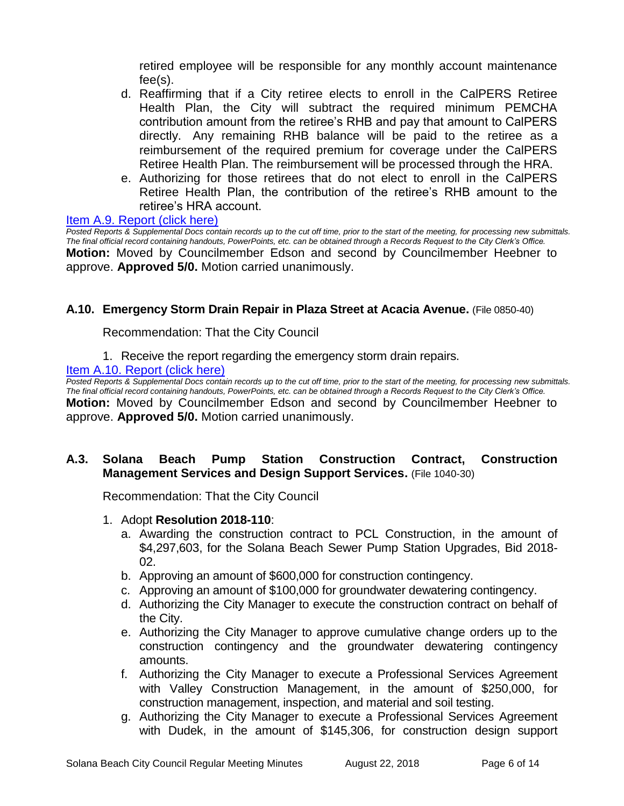retired employee will be responsible for any monthly account maintenance fee(s).

- d. Reaffirming that if a City retiree elects to enroll in the CalPERS Retiree Health Plan, the City will subtract the required minimum PEMCHA contribution amount from the retiree's RHB and pay that amount to CalPERS directly. Any remaining RHB balance will be paid to the retiree as a reimbursement of the required premium for coverage under the CalPERS Retiree Health Plan. The reimbursement will be processed through the HRA.
- e. Authorizing for those retirees that do not elect to enroll in the CalPERS Retiree Health Plan, the contribution of the retiree's RHB amount to the retiree's HRA account.

#### [Item A.9. Report \(click here\)](https://solanabeach.govoffice3.com/vertical/Sites/%7B840804C2-F869-4904-9AE3-720581350CE7%7D/uploads/Item_A.9._Report_(click_here)_-_08-22-18.PDF)

*Posted Reports & Supplemental Docs contain records up to the cut off time, prior to the start of the meeting, for processing new submittals. The final official record containing handouts, PowerPoints, etc. can be obtained through a Records Request to the City Clerk's Office.* **Motion:** Moved by Councilmember Edson and second by Councilmember Heebner to approve. **Approved 5/0.** Motion carried unanimously.

#### **A.10. Emergency Storm Drain Repair in Plaza Street at Acacia Avenue.** (File 0850-40)

Recommendation: That the City Council

1. Receive the report regarding the emergency storm drain repairs.

#### [Item A.10. Report \(click here\)](https://solanabeach.govoffice3.com/vertical/Sites/%7B840804C2-F869-4904-9AE3-720581350CE7%7D/uploads/Item_A.10._Report_(click_here)_-_08-22-18.PDF)

**Posted Reports & Supplemental Docs contain records up to the cut off time, prior to the start of the meeting, for processing new submittals.** *The final official record containing handouts, PowerPoints, etc. can be obtained through a Records Request to the City Clerk's Office.* **Motion:** Moved by Councilmember Edson and second by Councilmember Heebner to approve. **Approved 5/0.** Motion carried unanimously.

#### **A.3. Solana Beach Pump Station Construction Contract, Construction Management Services and Design Support Services.** (File 1040-30)

Recommendation: That the City Council

- 1. Adopt **Resolution 2018-110**:
	- a. Awarding the construction contract to PCL Construction, in the amount of \$4,297,603, for the Solana Beach Sewer Pump Station Upgrades, Bid 2018- 02.
	- b. Approving an amount of \$600,000 for construction contingency.
	- c. Approving an amount of \$100,000 for groundwater dewatering contingency.
	- d. Authorizing the City Manager to execute the construction contract on behalf of the City.
	- e. Authorizing the City Manager to approve cumulative change orders up to the construction contingency and the groundwater dewatering contingency amounts.
	- f. Authorizing the City Manager to execute a Professional Services Agreement with Valley Construction Management, in the amount of \$250,000, for construction management, inspection, and material and soil testing.
	- g. Authorizing the City Manager to execute a Professional Services Agreement with Dudek, in the amount of \$145,306, for construction design support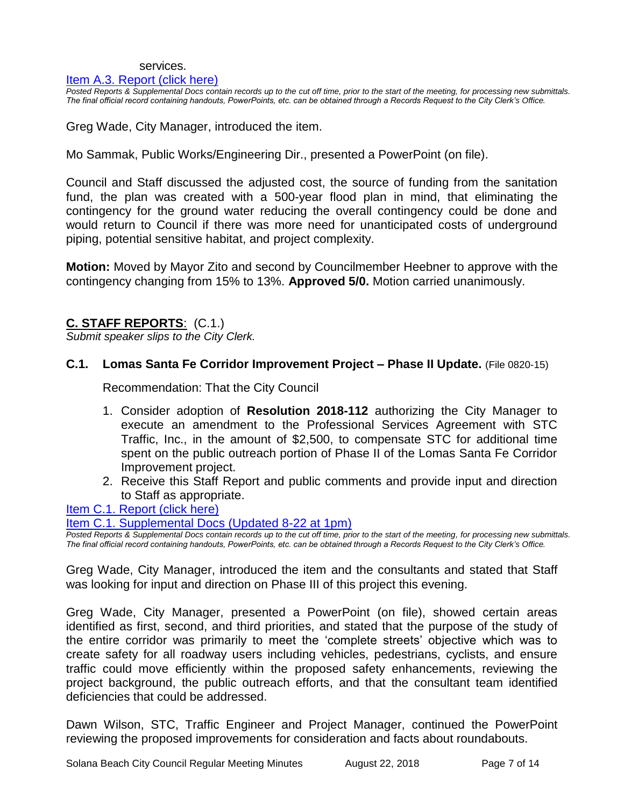#### services.

#### [Item A.3. Report \(click here\)](https://solanabeach.govoffice3.com/vertical/Sites/%7B840804C2-F869-4904-9AE3-720581350CE7%7D/uploads/Item_A.3._Report_(click_here)_-_08-22-18.PDF)

*Posted Reports & Supplemental Docs contain records up to the cut off time, prior to the start of the meeting, for processing new submittals. The final official record containing handouts, PowerPoints, etc. can be obtained through a Records Request to the City Clerk's Office.*

Greg Wade, City Manager, introduced the item.

Mo Sammak, Public Works/Engineering Dir., presented a PowerPoint (on file).

Council and Staff discussed the adjusted cost, the source of funding from the sanitation fund, the plan was created with a 500-year flood plan in mind, that eliminating the contingency for the ground water reducing the overall contingency could be done and would return to Council if there was more need for unanticipated costs of underground piping, potential sensitive habitat, and project complexity.

**Motion:** Moved by Mayor Zito and second by Councilmember Heebner to approve with the contingency changing from 15% to 13%. **Approved 5/0.** Motion carried unanimously.

# **C. STAFF REPORTS**: (C.1.)

*Submit speaker slips to the City Clerk.*

#### **C.1. Lomas Santa Fe Corridor Improvement Project – Phase II Update.** (File 0820-15)

Recommendation: That the City Council

- 1. Consider adoption of **Resolution 2018-112** authorizing the City Manager to execute an amendment to the Professional Services Agreement with STC Traffic, Inc., in the amount of \$2,500, to compensate STC for additional time spent on the public outreach portion of Phase II of the Lomas Santa Fe Corridor Improvement project.
- 2. Receive this Staff Report and public comments and provide input and direction to Staff as appropriate.

[Item C.1. Report \(click here\)](https://solanabeach.govoffice3.com/vertical/Sites/%7B840804C2-F869-4904-9AE3-720581350CE7%7D/uploads/Item_C.1._Report_(click_here)_-_08-22-18.PDF)

[Item C.1. Supplemental Docs \(Updated 8-22](https://solanabeach.govoffice3.com/vertical/Sites/%7B840804C2-F869-4904-9AE3-720581350CE7%7D/uploads/C.1._Supplemental_Docs_(updated_8-22_at_1pm).pdf) at 1pm)

*Posted Reports & Supplemental Docs contain records up to the cut off time, prior to the start of the meeting, for processing new submittals. The final official record containing handouts, PowerPoints, etc. can be obtained through a Records Request to the City Clerk's Office.*

Greg Wade, City Manager, introduced the item and the consultants and stated that Staff was looking for input and direction on Phase III of this project this evening.

Greg Wade, City Manager, presented a PowerPoint (on file), showed certain areas identified as first, second, and third priorities, and stated that the purpose of the study of the entire corridor was primarily to meet the 'complete streets' objective which was to create safety for all roadway users including vehicles, pedestrians, cyclists, and ensure traffic could move efficiently within the proposed safety enhancements, reviewing the project background, the public outreach efforts, and that the consultant team identified deficiencies that could be addressed.

Dawn Wilson, STC, Traffic Engineer and Project Manager, continued the PowerPoint reviewing the proposed improvements for consideration and facts about roundabouts.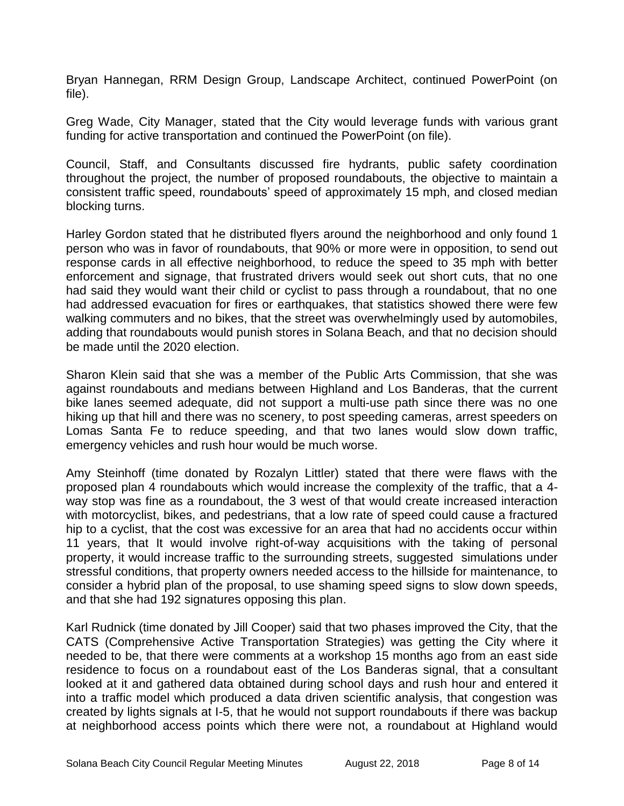Bryan Hannegan, RRM Design Group, Landscape Architect, continued PowerPoint (on file).

Greg Wade, City Manager, stated that the City would leverage funds with various grant funding for active transportation and continued the PowerPoint (on file).

Council, Staff, and Consultants discussed fire hydrants, public safety coordination throughout the project, the number of proposed roundabouts, the objective to maintain a consistent traffic speed, roundabouts' speed of approximately 15 mph, and closed median blocking turns.

Harley Gordon stated that he distributed flyers around the neighborhood and only found 1 person who was in favor of roundabouts, that 90% or more were in opposition, to send out response cards in all effective neighborhood, to reduce the speed to 35 mph with better enforcement and signage, that frustrated drivers would seek out short cuts, that no one had said they would want their child or cyclist to pass through a roundabout, that no one had addressed evacuation for fires or earthquakes, that statistics showed there were few walking commuters and no bikes, that the street was overwhelmingly used by automobiles, adding that roundabouts would punish stores in Solana Beach, and that no decision should be made until the 2020 election.

Sharon Klein said that she was a member of the Public Arts Commission, that she was against roundabouts and medians between Highland and Los Banderas, that the current bike lanes seemed adequate, did not support a multi-use path since there was no one hiking up that hill and there was no scenery, to post speeding cameras, arrest speeders on Lomas Santa Fe to reduce speeding, and that two lanes would slow down traffic, emergency vehicles and rush hour would be much worse.

Amy Steinhoff (time donated by Rozalyn Littler) stated that there were flaws with the proposed plan 4 roundabouts which would increase the complexity of the traffic, that a 4 way stop was fine as a roundabout, the 3 west of that would create increased interaction with motorcyclist, bikes, and pedestrians, that a low rate of speed could cause a fractured hip to a cyclist, that the cost was excessive for an area that had no accidents occur within 11 years, that It would involve right-of-way acquisitions with the taking of personal property, it would increase traffic to the surrounding streets, suggested simulations under stressful conditions, that property owners needed access to the hillside for maintenance, to consider a hybrid plan of the proposal, to use shaming speed signs to slow down speeds, and that she had 192 signatures opposing this plan.

Karl Rudnick (time donated by Jill Cooper) said that two phases improved the City, that the CATS (Comprehensive Active Transportation Strategies) was getting the City where it needed to be, that there were comments at a workshop 15 months ago from an east side residence to focus on a roundabout east of the Los Banderas signal, that a consultant looked at it and gathered data obtained during school days and rush hour and entered it into a traffic model which produced a data driven scientific analysis, that congestion was created by lights signals at I-5, that he would not support roundabouts if there was backup at neighborhood access points which there were not, a roundabout at Highland would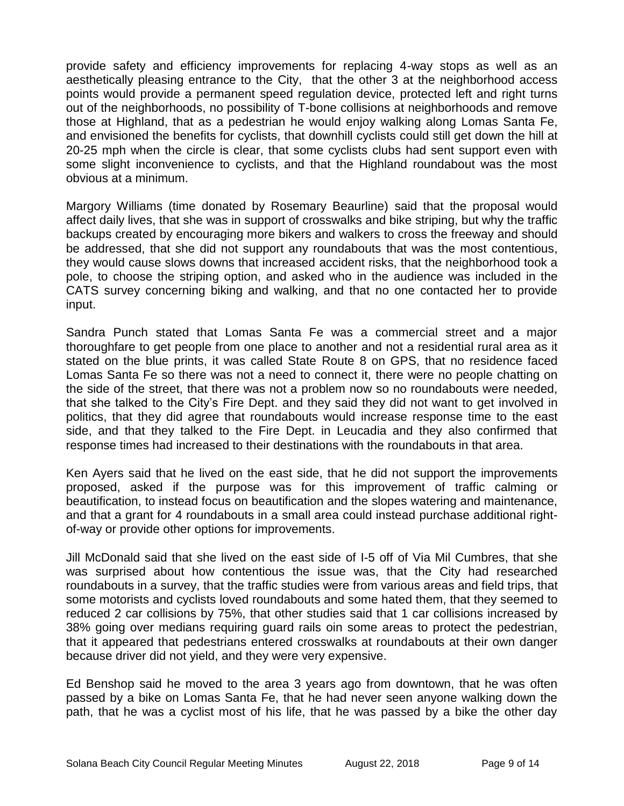provide safety and efficiency improvements for replacing 4-way stops as well as an aesthetically pleasing entrance to the City, that the other 3 at the neighborhood access points would provide a permanent speed regulation device, protected left and right turns out of the neighborhoods, no possibility of T-bone collisions at neighborhoods and remove those at Highland, that as a pedestrian he would enjoy walking along Lomas Santa Fe, and envisioned the benefits for cyclists, that downhill cyclists could still get down the hill at 20-25 mph when the circle is clear, that some cyclists clubs had sent support even with some slight inconvenience to cyclists, and that the Highland roundabout was the most obvious at a minimum.

Margory Williams (time donated by Rosemary Beaurline) said that the proposal would affect daily lives, that she was in support of crosswalks and bike striping, but why the traffic backups created by encouraging more bikers and walkers to cross the freeway and should be addressed, that she did not support any roundabouts that was the most contentious, they would cause slows downs that increased accident risks, that the neighborhood took a pole, to choose the striping option, and asked who in the audience was included in the CATS survey concerning biking and walking, and that no one contacted her to provide input.

Sandra Punch stated that Lomas Santa Fe was a commercial street and a major thoroughfare to get people from one place to another and not a residential rural area as it stated on the blue prints, it was called State Route 8 on GPS, that no residence faced Lomas Santa Fe so there was not a need to connect it, there were no people chatting on the side of the street, that there was not a problem now so no roundabouts were needed, that she talked to the City's Fire Dept. and they said they did not want to get involved in politics, that they did agree that roundabouts would increase response time to the east side, and that they talked to the Fire Dept. in Leucadia and they also confirmed that response times had increased to their destinations with the roundabouts in that area.

Ken Ayers said that he lived on the east side, that he did not support the improvements proposed, asked if the purpose was for this improvement of traffic calming or beautification, to instead focus on beautification and the slopes watering and maintenance, and that a grant for 4 roundabouts in a small area could instead purchase additional rightof-way or provide other options for improvements.

Jill McDonald said that she lived on the east side of I-5 off of Via Mil Cumbres, that she was surprised about how contentious the issue was, that the City had researched roundabouts in a survey, that the traffic studies were from various areas and field trips, that some motorists and cyclists loved roundabouts and some hated them, that they seemed to reduced 2 car collisions by 75%, that other studies said that 1 car collisions increased by 38% going over medians requiring guard rails oin some areas to protect the pedestrian, that it appeared that pedestrians entered crosswalks at roundabouts at their own danger because driver did not yield, and they were very expensive.

Ed Benshop said he moved to the area 3 years ago from downtown, that he was often passed by a bike on Lomas Santa Fe, that he had never seen anyone walking down the path, that he was a cyclist most of his life, that he was passed by a bike the other day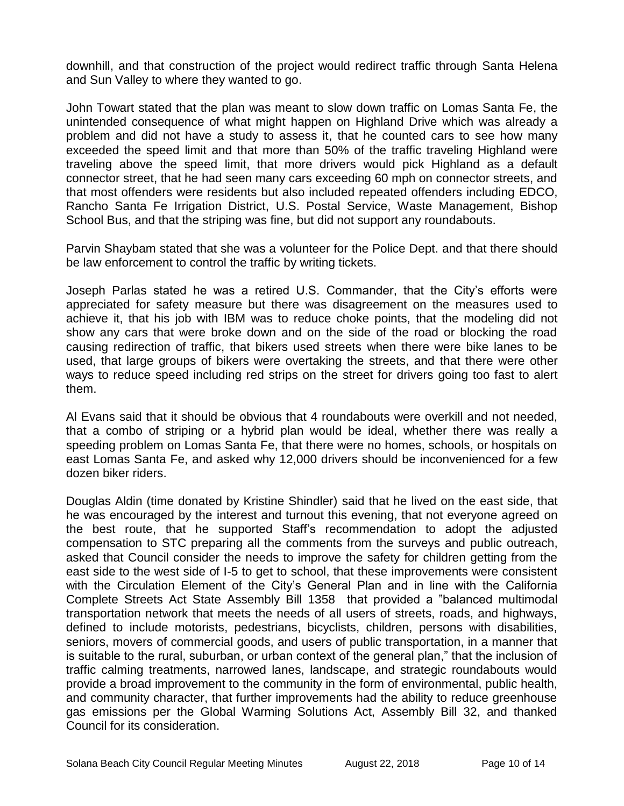downhill, and that construction of the project would redirect traffic through Santa Helena and Sun Valley to where they wanted to go.

John Towart stated that the plan was meant to slow down traffic on Lomas Santa Fe, the unintended consequence of what might happen on Highland Drive which was already a problem and did not have a study to assess it, that he counted cars to see how many exceeded the speed limit and that more than 50% of the traffic traveling Highland were traveling above the speed limit, that more drivers would pick Highland as a default connector street, that he had seen many cars exceeding 60 mph on connector streets, and that most offenders were residents but also included repeated offenders including EDCO, Rancho Santa Fe Irrigation District, U.S. Postal Service, Waste Management, Bishop School Bus, and that the striping was fine, but did not support any roundabouts.

Parvin Shaybam stated that she was a volunteer for the Police Dept. and that there should be law enforcement to control the traffic by writing tickets.

Joseph Parlas stated he was a retired U.S. Commander, that the City's efforts were appreciated for safety measure but there was disagreement on the measures used to achieve it, that his job with IBM was to reduce choke points, that the modeling did not show any cars that were broke down and on the side of the road or blocking the road causing redirection of traffic, that bikers used streets when there were bike lanes to be used, that large groups of bikers were overtaking the streets, and that there were other ways to reduce speed including red strips on the street for drivers going too fast to alert them.

Al Evans said that it should be obvious that 4 roundabouts were overkill and not needed, that a combo of striping or a hybrid plan would be ideal, whether there was really a speeding problem on Lomas Santa Fe, that there were no homes, schools, or hospitals on east Lomas Santa Fe, and asked why 12,000 drivers should be inconvenienced for a few dozen biker riders.

Douglas Aldin (time donated by Kristine Shindler) said that he lived on the east side, that he was encouraged by the interest and turnout this evening, that not everyone agreed on the best route, that he supported Staff's recommendation to adopt the adjusted compensation to STC preparing all the comments from the surveys and public outreach, asked that Council consider the needs to improve the safety for children getting from the east side to the west side of I-5 to get to school, that these improvements were consistent with the Circulation Element of the City's General Plan and in line with the California Complete Streets Act State Assembly Bill 1358 that provided a "balanced multimodal transportation network that meets the needs of all users of streets, roads, and highways, defined to include motorists, pedestrians, bicyclists, children, persons with disabilities, seniors, movers of commercial goods, and users of public transportation, in a manner that is suitable to the rural, suburban, or urban context of the general plan," that the inclusion of traffic calming treatments, narrowed lanes, landscape, and strategic roundabouts would provide a broad improvement to the community in the form of environmental, public health, and community character, that further improvements had the ability to reduce greenhouse gas emissions per the Global Warming Solutions Act, Assembly Bill 32, and thanked Council for its consideration.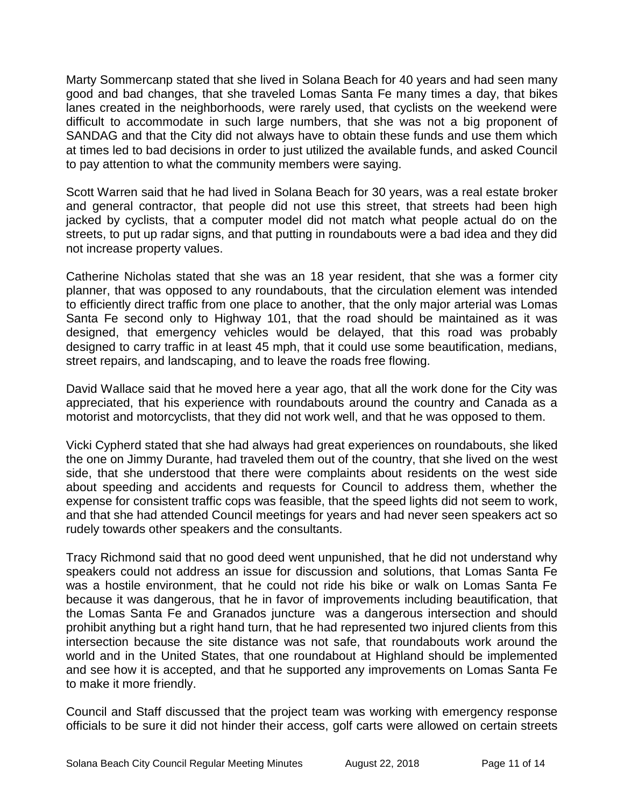Marty Sommercanp stated that she lived in Solana Beach for 40 years and had seen many good and bad changes, that she traveled Lomas Santa Fe many times a day, that bikes lanes created in the neighborhoods, were rarely used, that cyclists on the weekend were difficult to accommodate in such large numbers, that she was not a big proponent of SANDAG and that the City did not always have to obtain these funds and use them which at times led to bad decisions in order to just utilized the available funds, and asked Council to pay attention to what the community members were saying.

Scott Warren said that he had lived in Solana Beach for 30 years, was a real estate broker and general contractor, that people did not use this street, that streets had been high jacked by cyclists, that a computer model did not match what people actual do on the streets, to put up radar signs, and that putting in roundabouts were a bad idea and they did not increase property values.

Catherine Nicholas stated that she was an 18 year resident, that she was a former city planner, that was opposed to any roundabouts, that the circulation element was intended to efficiently direct traffic from one place to another, that the only major arterial was Lomas Santa Fe second only to Highway 101, that the road should be maintained as it was designed, that emergency vehicles would be delayed, that this road was probably designed to carry traffic in at least 45 mph, that it could use some beautification, medians, street repairs, and landscaping, and to leave the roads free flowing.

David Wallace said that he moved here a year ago, that all the work done for the City was appreciated, that his experience with roundabouts around the country and Canada as a motorist and motorcyclists, that they did not work well, and that he was opposed to them.

Vicki Cypherd stated that she had always had great experiences on roundabouts, she liked the one on Jimmy Durante, had traveled them out of the country, that she lived on the west side, that she understood that there were complaints about residents on the west side about speeding and accidents and requests for Council to address them, whether the expense for consistent traffic cops was feasible, that the speed lights did not seem to work, and that she had attended Council meetings for years and had never seen speakers act so rudely towards other speakers and the consultants.

Tracy Richmond said that no good deed went unpunished, that he did not understand why speakers could not address an issue for discussion and solutions, that Lomas Santa Fe was a hostile environment, that he could not ride his bike or walk on Lomas Santa Fe because it was dangerous, that he in favor of improvements including beautification, that the Lomas Santa Fe and Granados juncture was a dangerous intersection and should prohibit anything but a right hand turn, that he had represented two injured clients from this intersection because the site distance was not safe, that roundabouts work around the world and in the United States, that one roundabout at Highland should be implemented and see how it is accepted, and that he supported any improvements on Lomas Santa Fe to make it more friendly.

Council and Staff discussed that the project team was working with emergency response officials to be sure it did not hinder their access, golf carts were allowed on certain streets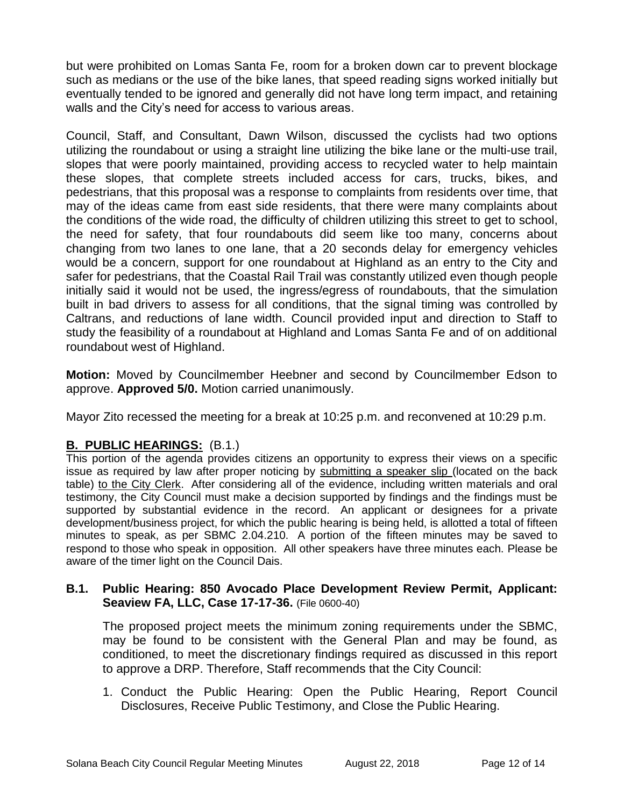but were prohibited on Lomas Santa Fe, room for a broken down car to prevent blockage such as medians or the use of the bike lanes, that speed reading signs worked initially but eventually tended to be ignored and generally did not have long term impact, and retaining walls and the City's need for access to various areas.

Council, Staff, and Consultant, Dawn Wilson, discussed the cyclists had two options utilizing the roundabout or using a straight line utilizing the bike lane or the multi-use trail, slopes that were poorly maintained, providing access to recycled water to help maintain these slopes, that complete streets included access for cars, trucks, bikes, and pedestrians, that this proposal was a response to complaints from residents over time, that may of the ideas came from east side residents, that there were many complaints about the conditions of the wide road, the difficulty of children utilizing this street to get to school, the need for safety, that four roundabouts did seem like too many, concerns about changing from two lanes to one lane, that a 20 seconds delay for emergency vehicles would be a concern, support for one roundabout at Highland as an entry to the City and safer for pedestrians, that the Coastal Rail Trail was constantly utilized even though people initially said it would not be used, the ingress/egress of roundabouts, that the simulation built in bad drivers to assess for all conditions, that the signal timing was controlled by Caltrans, and reductions of lane width. Council provided input and direction to Staff to study the feasibility of a roundabout at Highland and Lomas Santa Fe and of on additional roundabout west of Highland.

**Motion:** Moved by Councilmember Heebner and second by Councilmember Edson to approve. **Approved 5/0.** Motion carried unanimously.

Mayor Zito recessed the meeting for a break at 10:25 p.m. and reconvened at 10:29 p.m.

# **B. PUBLIC HEARINGS:** (B.1.)

This portion of the agenda provides citizens an opportunity to express their views on a specific issue as required by law after proper noticing by submitting a speaker slip (located on the back table) to the City Clerk. After considering all of the evidence, including written materials and oral testimony, the City Council must make a decision supported by findings and the findings must be supported by substantial evidence in the record. An applicant or designees for a private development/business project, for which the public hearing is being held, is allotted a total of fifteen minutes to speak, as per SBMC 2.04.210. A portion of the fifteen minutes may be saved to respond to those who speak in opposition. All other speakers have three minutes each. Please be aware of the timer light on the Council Dais.

#### **B.1. Public Hearing: 850 Avocado Place Development Review Permit, Applicant: Seaview FA, LLC, Case 17-17-36.** (File 0600-40)

The proposed project meets the minimum zoning requirements under the SBMC, may be found to be consistent with the General Plan and may be found, as conditioned, to meet the discretionary findings required as discussed in this report to approve a DRP. Therefore, Staff recommends that the City Council:

1. Conduct the Public Hearing: Open the Public Hearing, Report Council Disclosures, Receive Public Testimony, and Close the Public Hearing.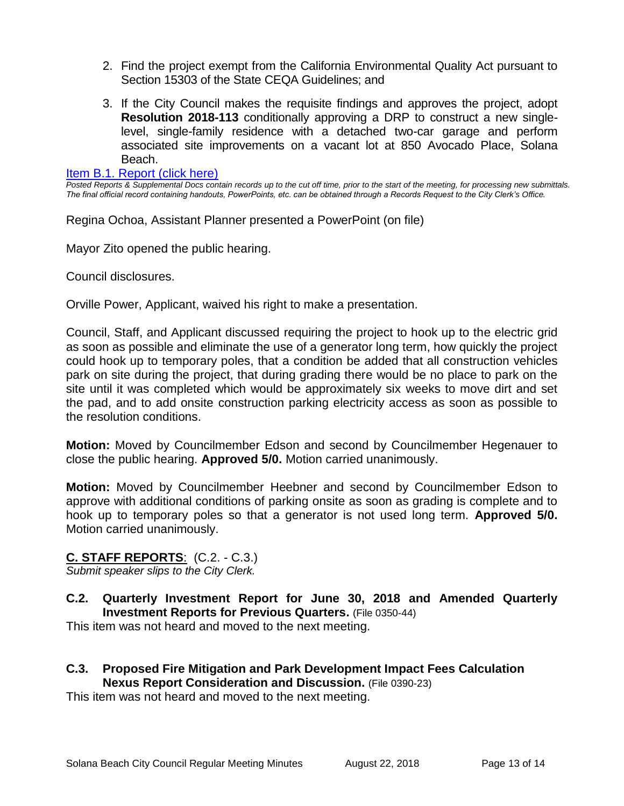- 2. Find the project exempt from the California Environmental Quality Act pursuant to Section 15303 of the State CEQA Guidelines; and
- 3. If the City Council makes the requisite findings and approves the project, adopt **Resolution 2018-113** conditionally approving a DRP to construct a new singlelevel, single-family residence with a detached two-car garage and perform associated site improvements on a vacant lot at 850 Avocado Place, Solana Beach.

#### [Item B.1. Report \(click here\)](https://solanabeach.govoffice3.com/vertical/Sites/%7B840804C2-F869-4904-9AE3-720581350CE7%7D/uploads/Item_B.1._Report_(click_here)_-_08-22-18.PDF)

*Posted Reports & Supplemental Docs contain records up to the cut off time, prior to the start of the meeting, for processing new submittals. The final official record containing handouts, PowerPoints, etc. can be obtained through a Records Request to the City Clerk's Office.*

Regina Ochoa, Assistant Planner presented a PowerPoint (on file)

Mayor Zito opened the public hearing.

Council disclosures.

Orville Power, Applicant, waived his right to make a presentation.

Council, Staff, and Applicant discussed requiring the project to hook up to the electric grid as soon as possible and eliminate the use of a generator long term, how quickly the project could hook up to temporary poles, that a condition be added that all construction vehicles park on site during the project, that during grading there would be no place to park on the site until it was completed which would be approximately six weeks to move dirt and set the pad, and to add onsite construction parking electricity access as soon as possible to the resolution conditions.

**Motion:** Moved by Councilmember Edson and second by Councilmember Hegenauer to close the public hearing. **Approved 5/0.** Motion carried unanimously.

**Motion:** Moved by Councilmember Heebner and second by Councilmember Edson to approve with additional conditions of parking onsite as soon as grading is complete and to hook up to temporary poles so that a generator is not used long term. **Approved 5/0.**  Motion carried unanimously.

# **C. STAFF REPORTS**: (C.2. - C.3.)

*Submit speaker slips to the City Clerk.*

**C.2. Quarterly Investment Report for June 30, 2018 and Amended Quarterly Investment Reports for Previous Quarters.** (File 0350-44)

This item was not heard and moved to the next meeting.

**C.3. Proposed Fire Mitigation and Park Development Impact Fees Calculation Nexus Report Consideration and Discussion.** (File 0390-23)

This item was not heard and moved to the next meeting.